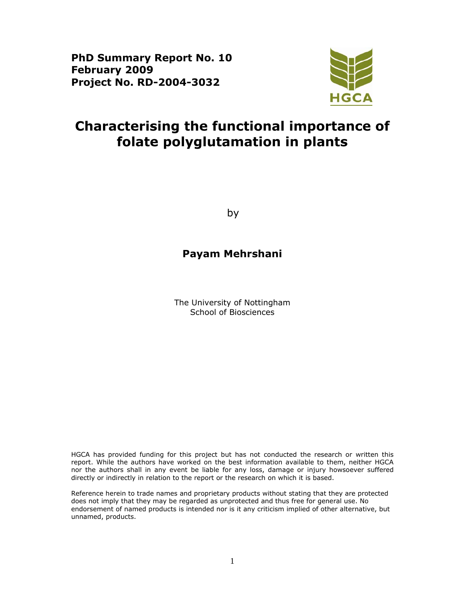**PhD Summary Report No. 10 February 2009 Project No. RD-2004-3032** 



# **Characterising the functional importance of folate polyglutamation in plants**

by

## **Payam Mehrshani**

The University of Nottingham School of Biosciences

HGCA has provided funding for this project but has not conducted the research or written this report. While the authors have worked on the best information available to them, neither HGCA nor the authors shall in any event be liable for any loss, damage or injury howsoever suffered directly or indirectly in relation to the report or the research on which it is based.

Reference herein to trade names and proprietary products without stating that they are protected does not imply that they may be regarded as unprotected and thus free for general use. No endorsement of named products is intended nor is it any criticism implied of other alternative, but unnamed, products.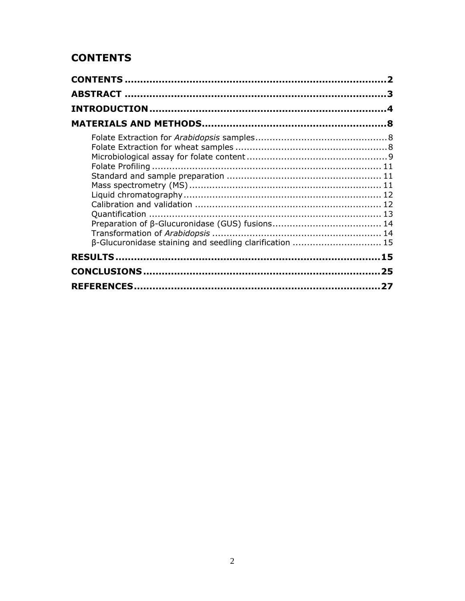## **CONTENTS**

| β-Glucuronidase staining and seedling clarification  15 |  |
|---------------------------------------------------------|--|
|                                                         |  |
|                                                         |  |
|                                                         |  |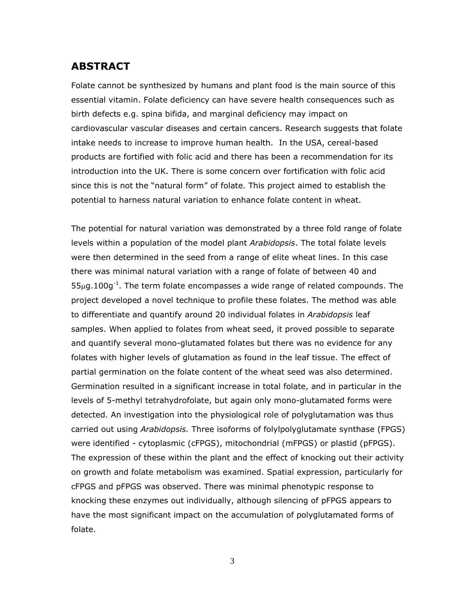## **ABSTRACT**

Folate cannot be synthesized by humans and plant food is the main source of this essential vitamin. Folate deficiency can have severe health consequences such as birth defects e.g. spina bifida, and marginal deficiency may impact on cardiovascular vascular diseases and certain cancers. Research suggests that folate intake needs to increase to improve human health. In the USA, cereal-based products are fortified with folic acid and there has been a recommendation for its introduction into the UK. There is some concern over fortification with folic acid since this is not the "natural form" of folate. This project aimed to establish the potential to harness natural variation to enhance folate content in wheat.

The potential for natural variation was demonstrated by a three fold range of folate levels within a population of the model plant *Arabidopsis*. The total folate levels were then determined in the seed from a range of elite wheat lines. In this case there was minimal natural variation with a range of folate of between 40 and  $55\mu$ g.100g<sup>-1</sup>. The term folate encompasses a wide range of related compounds. The project developed a novel technique to profile these folates. The method was able to differentiate and quantify around 20 individual folates in *Arabidopsis* leaf samples. When applied to folates from wheat seed, it proved possible to separate and quantify several mono-glutamated folates but there was no evidence for any folates with higher levels of glutamation as found in the leaf tissue. The effect of partial germination on the folate content of the wheat seed was also determined. Germination resulted in a significant increase in total folate, and in particular in the levels of 5-methyl tetrahydrofolate, but again only mono-glutamated forms were detected. An investigation into the physiological role of polyglutamation was thus carried out using *Arabidopsis.* Three isoforms of folylpolyglutamate synthase (FPGS) were identified - cytoplasmic (cFPGS), mitochondrial (mFPGS) or plastid (pFPGS). The expression of these within the plant and the effect of knocking out their activity on growth and folate metabolism was examined. Spatial expression, particularly for cFPGS and pFPGS was observed. There was minimal phenotypic response to knocking these enzymes out individually, although silencing of pFPGS appears to have the most significant impact on the accumulation of polyglutamated forms of folate.

3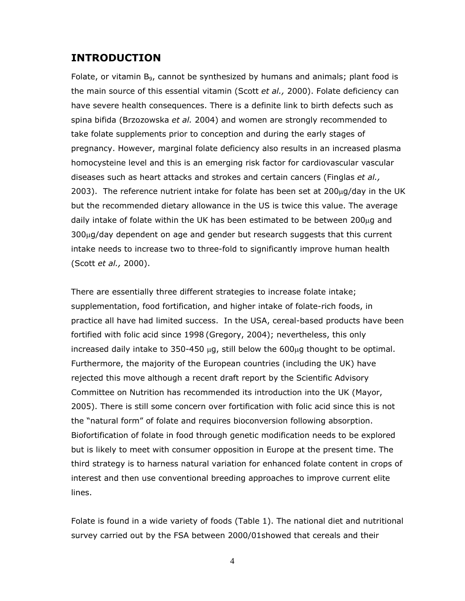## **INTRODUCTION**

Folate, or vitamin  $B<sub>9</sub>$ , cannot be synthesized by humans and animals; plant food is the main source of this essential vitamin (Scott *et al.,* 2000). Folate deficiency can have severe health consequences. There is a definite link to birth defects such as spina bifida (Brzozowska *et al.* 2004) and women are strongly recommended to take folate supplements prior to conception and during the early stages of pregnancy. However, marginal folate deficiency also results in an increased plasma homocysteine level and this is an emerging risk factor for cardiovascular vascular diseases such as heart attacks and strokes and certain cancers (Finglas *et al.,* 2003). The reference nutrient intake for folate has been set at  $200\mu$ g/day in the UK but the recommended dietary allowance in the US is twice this value. The average daily intake of folate within the UK has been estimated to be between 200 $\mu$ g and 300μg/day dependent on age and gender but research suggests that this current intake needs to increase two to three-fold to significantly improve human health (Scott *et al.,* 2000).

There are essentially three different strategies to increase folate intake; supplementation, food fortification, and higher intake of folate-rich foods, in practice all have had limited success. In the USA, cereal-based products have been fortified with folic acid since 1998 (Gregory, 2004); nevertheless, this only increased daily intake to 350-450  $\mu$ g, still below the 600 $\mu$ g thought to be optimal. Furthermore, the majority of the European countries (including the UK) have rejected this move although a recent draft report by the Scientific Advisory Committee on Nutrition has recommended its introduction into the UK (Mayor, 2005). There is still some concern over fortification with folic acid since this is not the "natural form" of folate and requires bioconversion following absorption. Biofortification of folate in food through genetic modification needs to be explored but is likely to meet with consumer opposition in Europe at the present time. The third strategy is to harness natural variation for enhanced folate content in crops of interest and then use conventional breeding approaches to improve current elite lines.

Folate is found in a wide variety of foods (Table 1). The national diet and nutritional survey carried out by the FSA between 2000/01showed that cereals and their

4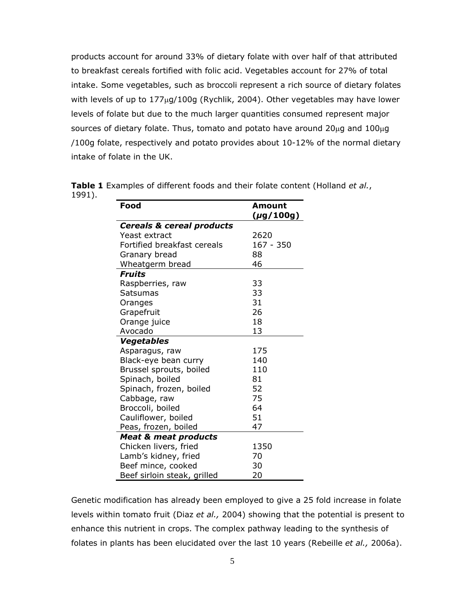products account for around 33% of dietary folate with over half of that attributed to breakfast cereals fortified with folic acid. Vegetables account for 27% of total intake. Some vegetables, such as broccoli represent a rich source of dietary folates with levels of up to 177μg/100g (Rychlik, 2004). Other vegetables may have lower levels of folate but due to the much larger quantities consumed represent major sources of dietary folate. Thus, tomato and potato have around  $20\mu$ g and  $100\mu$ g /100g folate, respectively and potato provides about 10-12% of the normal dietary intake of folate in the UK.

| Food                                 | Amount<br>(µg/100g) |  |  |
|--------------------------------------|---------------------|--|--|
| <b>Cereals &amp; cereal products</b> |                     |  |  |
| Yeast extract                        | 2620                |  |  |
| Fortified breakfast cereals          | 167 - 350           |  |  |
| Granary bread                        | 88                  |  |  |
| Wheatgerm bread                      | 46                  |  |  |
| <b>Fruits</b>                        |                     |  |  |
| Raspberries, raw                     | 33                  |  |  |
| Satsumas                             | 33                  |  |  |
| Oranges                              | 31                  |  |  |
| Grapefruit                           | 26                  |  |  |
| Orange juice                         | 18                  |  |  |
| Avocado                              | 13                  |  |  |
| <b>Vegetables</b>                    |                     |  |  |
| Asparagus, raw                       | 175                 |  |  |
| Black-eye bean curry                 | 140                 |  |  |
| Brussel sprouts, boiled              | 110                 |  |  |
| Spinach, boiled                      | 81                  |  |  |
| Spinach, frozen, boiled              | 52                  |  |  |
| Cabbage, raw                         | 75                  |  |  |
| Broccoli, boiled                     | 64                  |  |  |
| Cauliflower, boiled                  | 51                  |  |  |
| Peas, frozen, boiled                 | 47                  |  |  |
| <b>Meat &amp; meat products</b>      |                     |  |  |
| Chicken livers, fried                | 1350                |  |  |
| Lamb's kidney, fried                 | 70                  |  |  |
| Beef mince, cooked                   | 30                  |  |  |
| Beef sirloin steak, grilled          | 20                  |  |  |

**Table 1** Examples of different foods and their folate content (Holland *et al.*, 1991).

Genetic modification has already been employed to give a 25 fold increase in folate levels within tomato fruit (Diaz *et al.,* 2004) showing that the potential is present to enhance this nutrient in crops. The complex pathway leading to the synthesis of folates in plants has been elucidated over the last 10 years (Rebeille *et al.,* 2006a).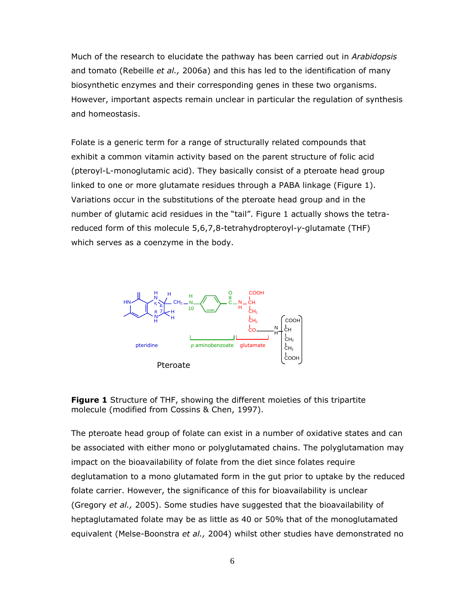Much of the research to elucidate the pathway has been carried out in *Arabidopsis* and tomato (Rebeille *et al.,* 2006a) and this has led to the identification of many biosynthetic enzymes and their corresponding genes in these two organisms. However, important aspects remain unclear in particular the regulation of synthesis and homeostasis.

Folate is a generic term for a range of structurally related compounds that exhibit a common vitamin activity based on the parent structure of folic acid (pteroyl-L-monoglutamic acid). They basically consist of a pteroate head group linked to one or more glutamate residues through a PABA linkage (Figure 1). Variations occur in the substitutions of the pteroate head group and in the number of glutamic acid residues in the "tail". Figure 1 actually shows the tetrareduced form of this molecule 5,6,7,8-tetrahydropteroyl-*γ*-glutamate (THF) which serves as a coenzyme in the body.





The pteroate head group of folate can exist in a number of oxidative states and can be associated with either mono or polyglutamated chains. The polyglutamation may impact on the bioavailability of folate from the diet since folates require deglutamation to a mono glutamated form in the gut prior to uptake by the reduced folate carrier. However, the significance of this for bioavailability is unclear (Gregory *et al.,* 2005). Some studies have suggested that the bioavailability of heptaglutamated folate may be as little as 40 or 50% that of the monoglutamated equivalent (Melse-Boonstra *et al.,* 2004) whilst other studies have demonstrated no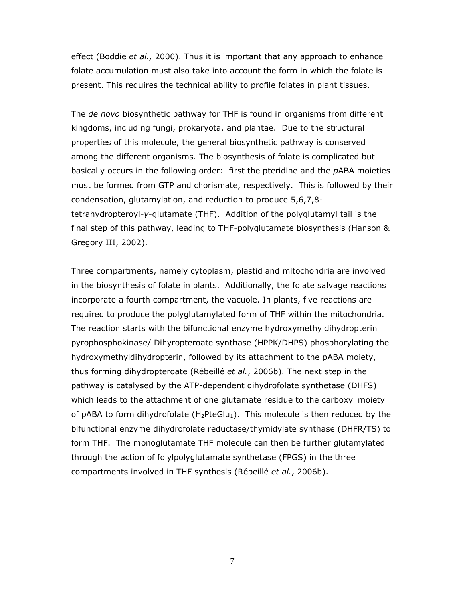effect (Boddie *et al.,* 2000). Thus it is important that any approach to enhance folate accumulation must also take into account the form in which the folate is present. This requires the technical ability to profile folates in plant tissues.

The *de novo* biosynthetic pathway for THF is found in organisms from different kingdoms, including fungi, prokaryota, and plantae. Due to the structural properties of this molecule, the general biosynthetic pathway is conserved among the different organisms. The biosynthesis of folate is complicated but basically occurs in the following order: first the pteridine and the *p*ABA moieties must be formed from GTP and chorismate, respectively. This is followed by their condensation, glutamylation, and reduction to produce 5,6,7,8 tetrahydropteroyl-*γ*-glutamate (THF). Addition of the polyglutamyl tail is the final step of this pathway, leading to THF-polyglutamate biosynthesis (Hanson & Gregory III, 2002).

Three compartments, namely cytoplasm, plastid and mitochondria are involved in the biosynthesis of folate in plants. Additionally, the folate salvage reactions incorporate a fourth compartment, the vacuole. In plants, five reactions are required to produce the polyglutamylated form of THF within the mitochondria. The reaction starts with the bifunctional enzyme hydroxymethyldihydropterin pyrophosphokinase/ Dihyropteroate synthase (HPPK/DHPS) phosphorylating the hydroxymethyldihydropterin, followed by its attachment to the pABA moiety, thus forming dihydropteroate (Rébeillé *et al.*, 2006b). The next step in the pathway is catalysed by the ATP-dependent dihydrofolate synthetase (DHFS) which leads to the attachment of one glutamate residue to the carboxyl moiety of pABA to form dihydrofolate  $(H_2PteGlu_1)$ . This molecule is then reduced by the bifunctional enzyme dihydrofolate reductase/thymidylate synthase (DHFR/TS) to form THF. The monoglutamate THF molecule can then be further glutamylated through the action of folylpolyglutamate synthetase (FPGS) in the three compartments involved in THF synthesis (Rébeillé *et al.*, 2006b).

7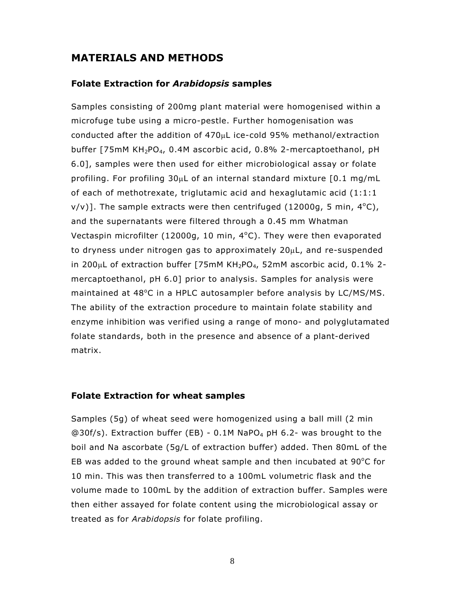## **MATERIALS AND METHODS**

#### **Folate Extraction for** *Arabidopsis* **samples**

Samples consisting of 200mg plant material were homogenised within a microfuge tube using a micro-pestle. Further homogenisation was conducted after the addition of  $470\mu$ L ice-cold 95% methanol/extraction buffer [75mM KH<sub>2</sub>PO<sub>4</sub>, 0.4M ascorbic acid, 0.8% 2-mercaptoethanol, pH 6.0], samples were then used for either microbiological assay or folate profiling. For profiling 30μL of an internal standard mixture [0.1 mg/mL of each of methotrexate, triglutamic acid and hexaglutamic acid (1:1:1  $v/v$ ]. The sample extracts were then centrifuged (12000g, 5 min, 4 $^{\circ}$ C), and the supernatants were filtered through a 0.45 mm Whatman Vectaspin microfilter (12000g, 10 min, 4°C). They were then evaporated to dryness under nitrogen gas to approximately 20μL, and re-suspended in 200 $\mu$ L of extraction buffer [75mM KH<sub>2</sub>PO<sub>4</sub>, 52mM ascorbic acid, 0.1% 2mercaptoethanol, pH 6.0] prior to analysis. Samples for analysis were maintained at 48°C in a HPLC autosampler before analysis by LC/MS/MS. The ability of the extraction procedure to maintain folate stability and enzyme inhibition was verified using a range of mono- and polyglutamated folate standards, both in the presence and absence of a plant-derived matrix.

#### **Folate Extraction for wheat samples**

Samples (5g) of wheat seed were homogenized using a ball mill (2 min @30f/s). Extraction buffer (EB) - 0.1M NaPO<sub>4</sub> pH 6.2- was brought to the boil and Na ascorbate (5g/L of extraction buffer) added. Then 80mL of the EB was added to the ground wheat sample and then incubated at  $90^{\circ}$ C for 10 min. This was then transferred to a 100mL volumetric flask and the volume made to 100mL by the addition of extraction buffer. Samples were then either assayed for folate content using the microbiological assay or treated as for *Arabidopsis* for folate profiling.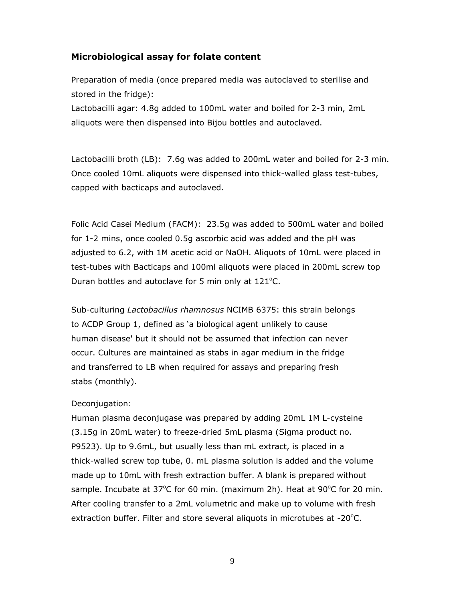#### **Microbiological assay for folate content**

Preparation of media (once prepared media was autoclaved to sterilise and stored in the fridge):

Lactobacilli agar: 4.8g added to 100mL water and boiled for 2-3 min, 2mL aliquots were then dispensed into Bijou bottles and autoclaved.

Lactobacilli broth (LB): 7.6g was added to 200mL water and boiled for 2-3 min. Once cooled 10mL aliquots were dispensed into thick-walled glass test-tubes, capped with bacticaps and autoclaved.

Folic Acid Casei Medium (FACM): 23.5g was added to 500mL water and boiled for 1-2 mins, once cooled 0.5g ascorbic acid was added and the pH was adjusted to 6.2, with 1M acetic acid or NaOH. Aliquots of 10mL were placed in test-tubes with Bacticaps and 100ml aliquots were placed in 200mL screw top Duran bottles and autoclave for 5 min only at  $121^{\circ}$ C.

Sub-culturing *Lactobacillus rhamnosus* NCIMB 6375: this strain belongs to ACDP Group 1, defined as 'a biological agent unlikely to cause human disease' but it should not be assumed that infection can never occur. Cultures are maintained as stabs in agar medium in the fridge and transferred to LB when required for assays and preparing fresh stabs (monthly).

#### Deconjugation:

Human plasma deconjugase was prepared by adding 20mL 1M L-cysteine (3.15g in 20mL water) to freeze-dried 5mL plasma (Sigma product no. P9523). Up to 9.6mL, but usually less than mL extract, is placed in a thick-walled screw top tube, 0. mL plasma solution is added and the volume made up to 10mL with fresh extraction buffer. A blank is prepared without sample. Incubate at 37°C for 60 min. (maximum 2h). Heat at 90°C for 20 min. After cooling transfer to a 2mL volumetric and make up to volume with fresh extraction buffer. Filter and store several aliquots in microtubes at  $-20^{\circ}$ C.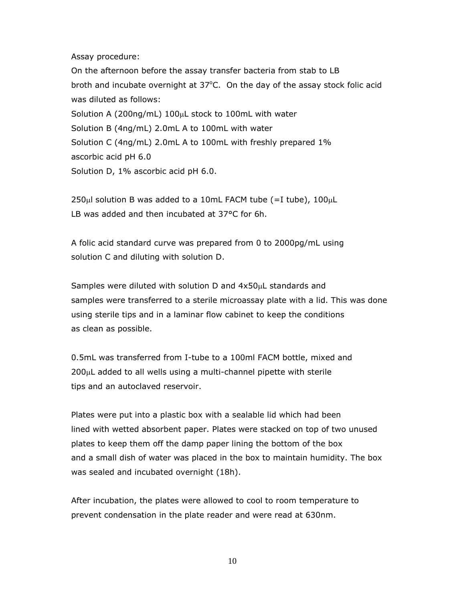Assay procedure:

On the afternoon before the assay transfer bacteria from stab to LB broth and incubate overnight at  $37^{\circ}$ C. On the day of the assay stock folic acid was diluted as follows: Solution A (200ng/mL) 100μL stock to 100mL with water Solution B (4ng/mL) 2.0mL A to 100mL with water Solution C (4ng/mL) 2.0mL A to 100mL with freshly prepared 1% ascorbic acid pH 6.0 Solution D, 1% ascorbic acid pH 6.0.

 $250\mu$ l solution B was added to a 10mL FACM tube (=I tube), 100 $\mu$ L LB was added and then incubated at 37°C for 6h.

A folic acid standard curve was prepared from 0 to 2000pg/mL using solution C and diluting with solution D.

Samples were diluted with solution D and 4x50μL standards and samples were transferred to a sterile microassay plate with a lid. This was done using sterile tips and in a laminar flow cabinet to keep the conditions as clean as possible.

0.5mL was transferred from I-tube to a 100ml FACM bottle, mixed and 200μL added to all wells using a multi-channel pipette with sterile tips and an autoclaved reservoir.

Plates were put into a plastic box with a sealable lid which had been lined with wetted absorbent paper. Plates were stacked on top of two unused plates to keep them off the damp paper lining the bottom of the box and a small dish of water was placed in the box to maintain humidity. The box was sealed and incubated overnight (18h).

After incubation, the plates were allowed to cool to room temperature to prevent condensation in the plate reader and were read at 630nm.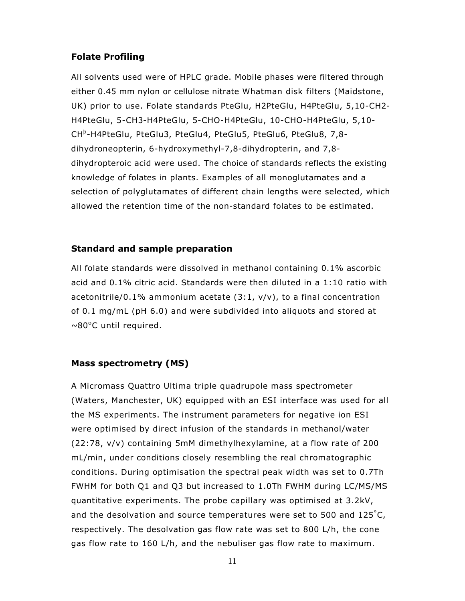#### **Folate Profiling**

All solvents used were of HPLC grade. Mobile phases were filtered through either 0.45 mm nylon or cellulose nitrate Whatman disk filters (Maidstone, UK) prior to use. Folate standards PteGlu, H2PteGlu, H4PteGlu, 5,10-CH2- H4PteGlu, 5-CH3-H4PteGlu, 5-CHO-H4PteGlu, 10-CHO-H4PteGlu, 5,10- CH<sup>b</sup>-H4PteGlu, PteGlu3, PteGlu4, PteGlu5, PteGlu6, PteGlu8, 7,8dihydroneopterin, 6-hydroxymethyl-7,8-dihydropterin, and 7,8 dihydropteroic acid were used. The choice of standards reflects the existing knowledge of folates in plants. Examples of all monoglutamates and a selection of polyglutamates of different chain lengths were selected, which allowed the retention time of the non-standard folates to be estimated.

#### **Standard and sample preparation**

All folate standards were dissolved in methanol containing 0.1% ascorbic acid and 0.1% citric acid. Standards were then diluted in a 1:10 ratio with acetonitrile/0.1% ammonium acetate  $(3:1, v/v)$ , to a final concentration of 0.1 mg/mL (pH 6.0) and were subdivided into aliquots and stored at ~80°C until required.

#### **Mass spectrometry (MS)**

A Micromass Quattro Ultima triple quadrupole mass spectrometer (Waters, Manchester, UK) equipped with an ESI interface was used for all the MS experiments. The instrument parameters for negative ion ESI were optimised by direct infusion of the standards in methanol/water (22:78, v/v) containing 5mM dimethylhexylamine, at a flow rate of 200 mL/min, under conditions closely resembling the real chromatographic conditions. During optimisation the spectral peak width was set to 0.7Th FWHM for both Q1 and Q3 but increased to 1.0Th FWHM during LC/MS/MS quantitative experiments. The probe capillary was optimised at 3.2kV, and the desolvation and source temperatures were set to 500 and 125°C, respectively. The desolvation gas flow rate was set to 800 L/h, the cone gas flow rate to 160 L/h, and the nebuliser gas flow rate to maximum.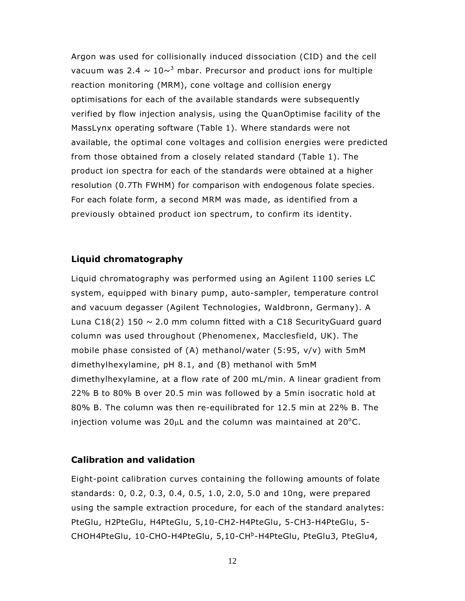Argon was used for collisionally induced dissociation (CID) and the cell vacuum was 2.4  $\sim$  10 $\sim$ <sup>3</sup> mbar. Precursor and product ions for multiple reaction monitoring (MRM), cone voltage and collision energy optimisations for each of the available standards were subsequently verified by flow injection analysis, using the QuanOptimise facility of the MassLynx operating software (Table 1). Where standards were not available, the optimal cone voltages and collision energies were predicted from those obtained from a closely related standard (Table 1). The product ion spectra for each of the standards were obtained at a higher resolution (0.7Th FWHM) for comparison with endogenous folate species. For each folate form, a second MRM was made, as identified from a previously obtained product ion spectrum, to confirm its identity.

#### **Liquid chromatography**

Liquid chromatography was performed using an Agilent 1100 series LC system, equipped with binary pump, auto-sampler, temperature control and vacuum degasser (Agilent Technologies, Waldbronn, Germany). A Luna  $C18(2)$  150  $\sim$  2.0 mm column fitted with a C18 Security Guard guard column was used throughout (Phenomenex, Macclesfield, UK). The mobile phase consisted of (A) methanol/water (5:95, v/v) with 5mM dimethylhexylamine, pH 8.1, and (B) methanol with 5mM dimethylhexylamine, at a flow rate of 200 mL/min. A linear gradient from 22% B to 80% B over 20.5 min was followed by a 5min isocratic hold at 80% B. The column was then re-equilibrated for 12.5 min at 22% B. The injection volume was  $20\mu$ L and the column was maintained at  $20^{\circ}$ C.

#### **Calibration and validation**

Eight-point calibration curves containing the following amounts of folate standards: 0, 0.2, 0.3, 0.4, 0.5, 1.0, 2.0, 5.0 and 10ng, were prepared using the sample extraction procedure, for each of the standard analytes: PteGlu, H2PteGlu, H4PteGlu, 5,10-CH2-H4PteGlu, 5-CH3-H4PteGlu, 5- CHOH4PteGlu, 10-CHO-H4PteGlu, 5,10-CH<sup>b</sup>-H4PteGlu, PteGlu3, PteGlu4,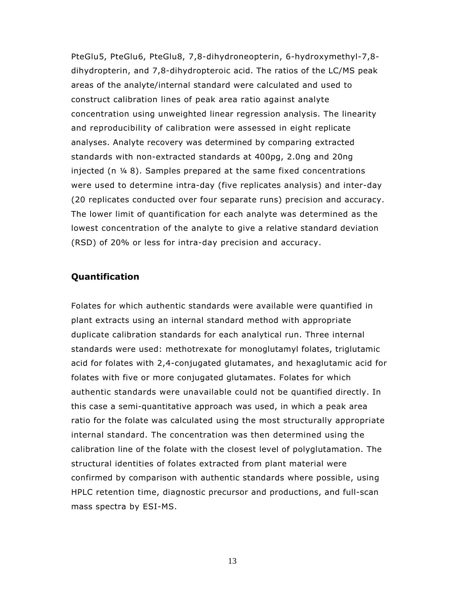PteGlu5, PteGlu6, PteGlu8, 7,8-dihydroneopterin, 6-hydroxymethyl-7,8 dihydropterin, and 7,8-dihydropteroic acid. The ratios of the LC/MS peak areas of the analyte/internal standard were calculated and used to construct calibration lines of peak area ratio against analyte concentration using unweighted linear regression analysis. The linearity and reproducibility of calibration were assessed in eight replicate analyses. Analyte recovery was determined by comparing extracted standards with non-extracted standards at 400pg, 2.0ng and 20ng injected (n ¼ 8). Samples prepared at the same fixed concentrations were used to determine intra-day (five replicates analysis) and inter-day (20 replicates conducted over four separate runs) precision and accuracy. The lower limit of quantification for each analyte was determined as the lowest concentration of the analyte to give a relative standard deviation (RSD) of 20% or less for intra-day precision and accuracy.

#### **Quantification**

Folates for which authentic standards were available were quantified in plant extracts using an internal standard method with appropriate duplicate calibration standards for each analytical run. Three internal standards were used: methotrexate for monoglutamyl folates, triglutamic acid for folates with 2,4-conjugated glutamates, and hexaglutamic acid for folates with five or more conjugated glutamates. Folates for which authentic standards were unavailable could not be quantified directly. In this case a semi-quantitative approach was used, in which a peak area ratio for the folate was calculated using the most structurally appropriate internal standard. The concentration was then determined using the calibration line of the folate with the closest level of polyglutamation. The structural identities of folates extracted from plant material were confirmed by comparison with authentic standards where possible, using HPLC retention time, diagnostic precursor and productions, and full-scan mass spectra by ESI-MS.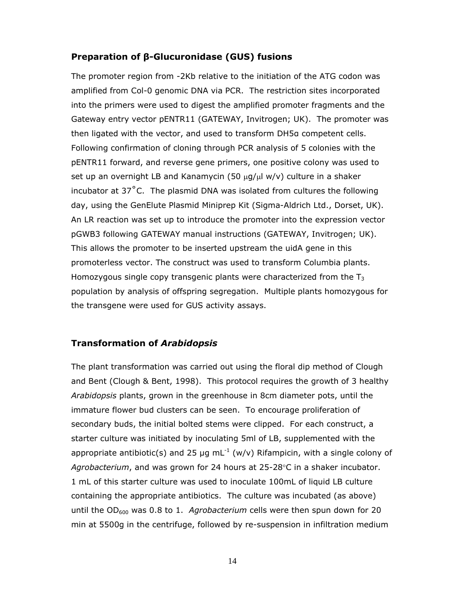#### **Preparation of β-Glucuronidase (GUS) fusions**

The promoter region from -2Kb relative to the initiation of the ATG codon was amplified from Col-0 genomic DNA via PCR. The restriction sites incorporated into the primers were used to digest the amplified promoter fragments and the Gateway entry vector pENTR11 (GATEWAY, Invitrogen; UK). The promoter was then ligated with the vector, and used to transform DH5α competent cells. Following confirmation of cloning through PCR analysis of 5 colonies with the pENTR11 forward, and reverse gene primers, one positive colony was used to set up an overnight LB and Kanamycin (50 μg/μl w/v) culture in a shaker incubator at 37˚C. The plasmid DNA was isolated from cultures the following day, using the GenElute Plasmid Miniprep Kit (Sigma-Aldrich Ltd., Dorset, UK). An LR reaction was set up to introduce the promoter into the expression vector pGWB3 following GATEWAY manual instructions (GATEWAY, Invitrogen; UK). This allows the promoter to be inserted upstream the uidA gene in this promoterless vector. The construct was used to transform Columbia plants. Homozygous single copy transgenic plants were characterized from the  $T_3$ population by analysis of offspring segregation. Multiple plants homozygous for the transgene were used for GUS activity assays.

#### **Transformation of** *Arabidopsis*

The plant transformation was carried out using the floral dip method of Clough and Bent (Clough & Bent, 1998). This protocol requires the growth of 3 healthy *Arabidopsis* plants, grown in the greenhouse in 8cm diameter pots, until the immature flower bud clusters can be seen. To encourage proliferation of secondary buds, the initial bolted stems were clipped. For each construct, a starter culture was initiated by inoculating 5ml of LB, supplemented with the appropriate antibiotic(s) and 25 µg mL<sup>-1</sup> (w/v) Rifampicin, with a single colony of *Agrobacterium*, and was grown for 24 hours at 25-28°C in a shaker incubator. 1 mL of this starter culture was used to inoculate 100mL of liquid LB culture containing the appropriate antibiotics. The culture was incubated (as above) until the OD<sub>600</sub> was 0.8 to 1. *Agrobacterium* cells were then spun down for 20 min at 5500g in the centrifuge, followed by re-suspension in infiltration medium

14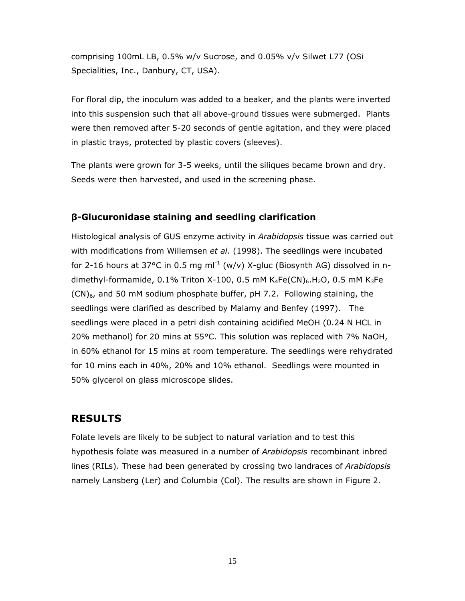comprising 100mL LB, 0.5% w/v Sucrose, and 0.05% v/v Silwet L77 (OSi Specialities, Inc., Danbury, CT, USA).

For floral dip, the inoculum was added to a beaker, and the plants were inverted into this suspension such that all above-ground tissues were submerged. Plants were then removed after 5-20 seconds of gentle agitation, and they were placed in plastic trays, protected by plastic covers (sleeves).

The plants were grown for 3-5 weeks, until the siliques became brown and dry. Seeds were then harvested, and used in the screening phase.

#### **β-Glucuronidase staining and seedling clarification**

Histological analysis of GUS enzyme activity in *Arabidopsis* tissue was carried out with modifications from Willemsen *et al*. (1998). The seedlings were incubated for 2-16 hours at 37°C in 0.5 mg ml<sup>-1</sup> (w/v) X-gluc (Biosynth AG) dissolved in ndimethyl-formamide, 0.1% Triton X-100, 0.5 mM  $K_4Fe(CN)_6.H_2O$ , 0.5 mM  $K_3Fe$  $(CN)_{6}$ , and 50 mM sodium phosphate buffer, pH 7.2. Following staining, the seedlings were clarified as described by Malamy and Benfey (1997). The seedlings were placed in a petri dish containing acidified MeOH (0.24 N HCL in 20% methanol) for 20 mins at 55°C. This solution was replaced with 7% NaOH, in 60% ethanol for 15 mins at room temperature. The seedlings were rehydrated for 10 mins each in 40%, 20% and 10% ethanol. Seedlings were mounted in 50% glycerol on glass microscope slides.

### **RESULTS**

Folate levels are likely to be subject to natural variation and to test this hypothesis folate was measured in a number of *Arabidopsis* recombinant inbred lines (RILs). These had been generated by crossing two landraces of *Arabidopsis* namely Lansberg (Ler) and Columbia (Col). The results are shown in Figure 2.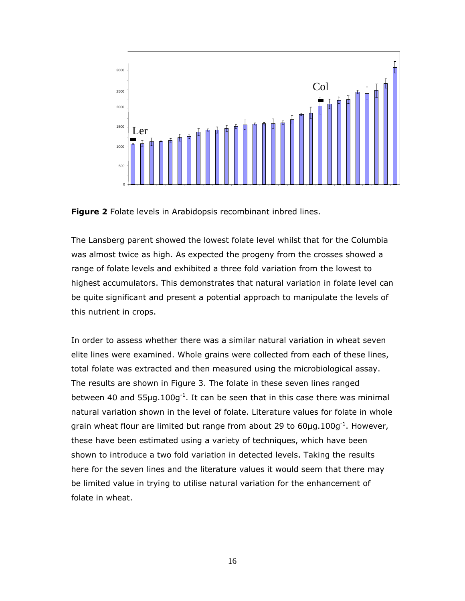

**Figure 2** Folate levels in Arabidopsis recombinant inbred lines.

The Lansberg parent showed the lowest folate level whilst that for the Columbia was almost twice as high. As expected the progeny from the crosses showed a range of folate levels and exhibited a three fold variation from the lowest to highest accumulators. This demonstrates that natural variation in folate level can be quite significant and present a potential approach to manipulate the levels of this nutrient in crops.

In order to assess whether there was a similar natural variation in wheat seven elite lines were examined. Whole grains were collected from each of these lines, total folate was extracted and then measured using the microbiological assay. The results are shown in Figure 3. The folate in these seven lines ranged between 40 and  $55\mu$ g.100g<sup>-1</sup>. It can be seen that in this case there was minimal natural variation shown in the level of folate. Literature values for folate in whole grain wheat flour are limited but range from about 29 to  $60\mu$ g.100g<sup>-1</sup>. However, these have been estimated using a variety of techniques, which have been shown to introduce a two fold variation in detected levels. Taking the results here for the seven lines and the literature values it would seem that there may be limited value in trying to utilise natural variation for the enhancement of folate in wheat.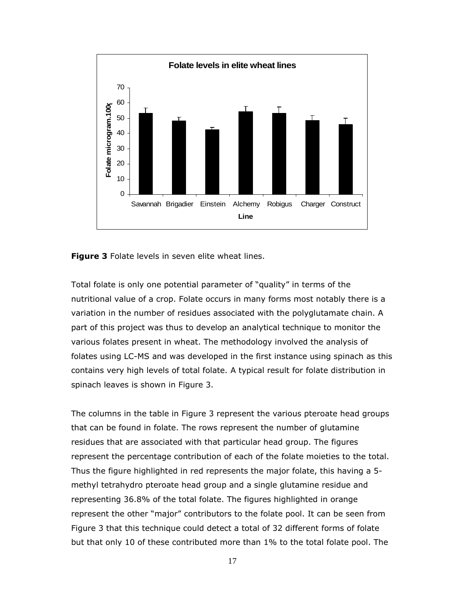

**Figure 3** Folate levels in seven elite wheat lines.

Total folate is only one potential parameter of "quality" in terms of the nutritional value of a crop. Folate occurs in many forms most notably there is a variation in the number of residues associated with the polyglutamate chain. A part of this project was thus to develop an analytical technique to monitor the various folates present in wheat. The methodology involved the analysis of folates using LC-MS and was developed in the first instance using spinach as this contains very high levels of total folate. A typical result for folate distribution in spinach leaves is shown in Figure 3.

The columns in the table in Figure 3 represent the various pteroate head groups that can be found in folate. The rows represent the number of glutamine residues that are associated with that particular head group. The figures represent the percentage contribution of each of the folate moieties to the total. Thus the figure highlighted in red represents the major folate, this having a 5 methyl tetrahydro pteroate head group and a single glutamine residue and representing 36.8% of the total folate. The figures highlighted in orange represent the other "major" contributors to the folate pool. It can be seen from Figure 3 that this technique could detect a total of 32 different forms of folate but that only 10 of these contributed more than 1% to the total folate pool. The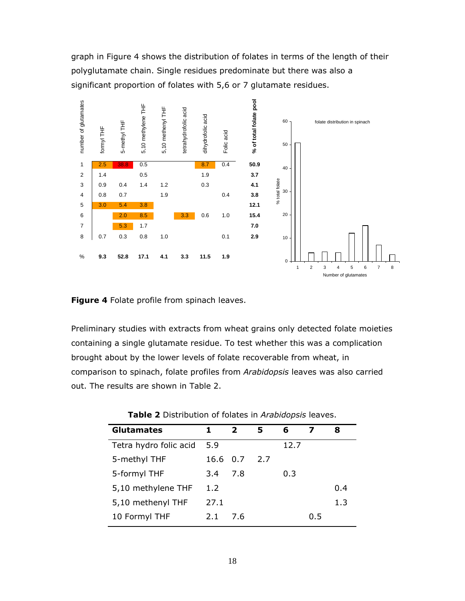graph in Figure 4 shows the distribution of folates in terms of the length of their polyglutamate chain. Single residues predominate but there was also a significant proportion of folates with 5,6 or 7 glutamate residues.



**Figure 4** Folate profile from spinach leaves.

Preliminary studies with extracts from wheat grains only detected folate moieties containing a single glutamate residue. To test whether this was a complication brought about by the lower levels of folate recoverable from wheat, in comparison to spinach, folate profiles from *Arabidopsis* leaves was also carried out. The results are shown in Table 2.

| 1.   | $\overline{2}$ | 5        | 6    |     | 8   |
|------|----------------|----------|------|-----|-----|
| 5.9  |                |          | 12.7 |     |     |
|      |                | 2.7      |      |     |     |
| 3.4  | 7.8            |          | 0.3  |     |     |
| 1.2  |                |          |      |     | 0.4 |
| 27.1 |                |          |      |     | 1.3 |
| 2.1  | 7.6            |          |      | 0.5 |     |
|      |                | 16.6 0.7 |      |     |     |

**Table 2** Distribution of folates in *Arabidopsis* leaves.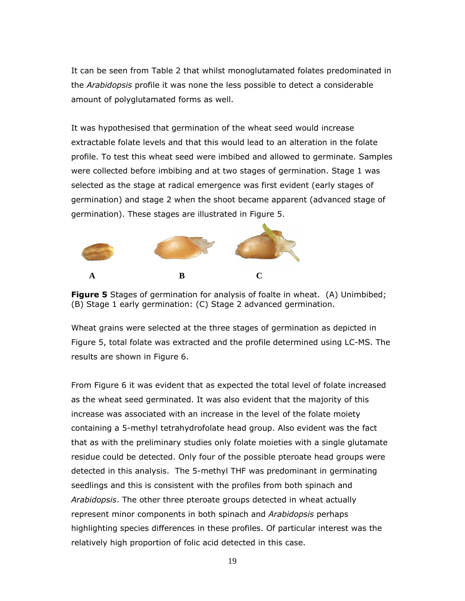It can be seen from Table 2 that whilst monoglutamated folates predominated in the *Arabidopsis* profile it was none the less possible to detect a considerable amount of polyglutamated forms as well.

It was hypothesised that germination of the wheat seed would increase extractable folate levels and that this would lead to an alteration in the folate profile. To test this wheat seed were imbibed and allowed to germinate. Samples were collected before imbibing and at two stages of germination. Stage 1 was selected as the stage at radical emergence was first evident (early stages of germination) and stage 2 when the shoot became apparent (advanced stage of germination). These stages are illustrated in Figure 5.





Wheat grains were selected at the three stages of germination as depicted in Figure 5, total folate was extracted and the profile determined using LC-MS. The results are shown in Figure 6.

From Figure 6 it was evident that as expected the total level of folate increased as the wheat seed germinated. It was also evident that the majority of this increase was associated with an increase in the level of the folate moiety containing a 5-methyl tetrahydrofolate head group. Also evident was the fact that as with the preliminary studies only folate moieties with a single glutamate residue could be detected. Only four of the possible pteroate head groups were detected in this analysis. The 5-methyl THF was predominant in germinating seedlings and this is consistent with the profiles from both spinach and *Arabidopsis*. The other three pteroate groups detected in wheat actually represent minor components in both spinach and *Arabidopsis* perhaps highlighting species differences in these profiles. Of particular interest was the relatively high proportion of folic acid detected in this case.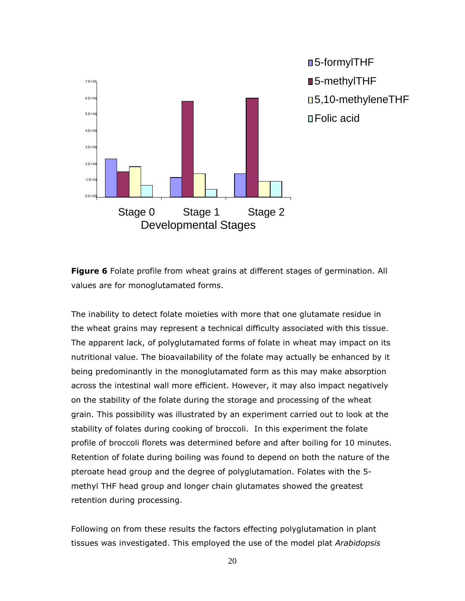

■5-formylTHF ■5-methylTHF 5,10-methyleneTHF Folic acid

**Figure 6** Folate profile from wheat grains at different stages of germination. All values are for monoglutamated forms.

The inability to detect folate moieties with more that one glutamate residue in the wheat grains may represent a technical difficulty associated with this tissue. The apparent lack, of polyglutamated forms of folate in wheat may impact on its nutritional value. The bioavailability of the folate may actually be enhanced by it being predominantly in the monoglutamated form as this may make absorption across the intestinal wall more efficient. However, it may also impact negatively on the stability of the folate during the storage and processing of the wheat grain. This possibility was illustrated by an experiment carried out to look at the stability of folates during cooking of broccoli. In this experiment the folate profile of broccoli florets was determined before and after boiling for 10 minutes. Retention of folate during boiling was found to depend on both the nature of the pteroate head group and the degree of polyglutamation. Folates with the 5 methyl THF head group and longer chain glutamates showed the greatest retention during processing.

Following on from these results the factors effecting polyglutamation in plant tissues was investigated. This employed the use of the model plat *Arabidopsis*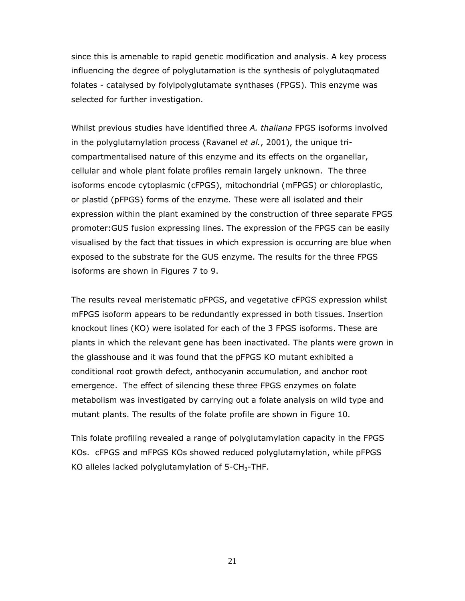since this is amenable to rapid genetic modification and analysis. A key process influencing the degree of polyglutamation is the synthesis of polyglutaqmated folates - catalysed by folylpolyglutamate synthases (FPGS). This enzyme was selected for further investigation.

Whilst previous studies have identified three *A. thaliana* FPGS isoforms involved in the polyglutamylation process (Ravanel *et al.*, 2001), the unique tricompartmentalised nature of this enzyme and its effects on the organellar, cellular and whole plant folate profiles remain largely unknown. The three isoforms encode cytoplasmic (cFPGS), mitochondrial (mFPGS) or chloroplastic, or plastid (pFPGS) forms of the enzyme. These were all isolated and their expression within the plant examined by the construction of three separate FPGS promoter:GUS fusion expressing lines. The expression of the FPGS can be easily visualised by the fact that tissues in which expression is occurring are blue when exposed to the substrate for the GUS enzyme. The results for the three FPGS isoforms are shown in Figures 7 to 9.

The results reveal meristematic pFPGS, and vegetative cFPGS expression whilst mFPGS isoform appears to be redundantly expressed in both tissues. Insertion knockout lines (KO) were isolated for each of the 3 FPGS isoforms. These are plants in which the relevant gene has been inactivated. The plants were grown in the glasshouse and it was found that the pFPGS KO mutant exhibited a conditional root growth defect, anthocyanin accumulation, and anchor root emergence. The effect of silencing these three FPGS enzymes on folate metabolism was investigated by carrying out a folate analysis on wild type and mutant plants. The results of the folate profile are shown in Figure 10.

This folate profiling revealed a range of polyglutamylation capacity in the FPGS KOs. cFPGS and mFPGS KOs showed reduced polyglutamylation, while pFPGS KO alleles lacked polyglutamylation of  $5$ -CH<sub>3</sub>-THF.

21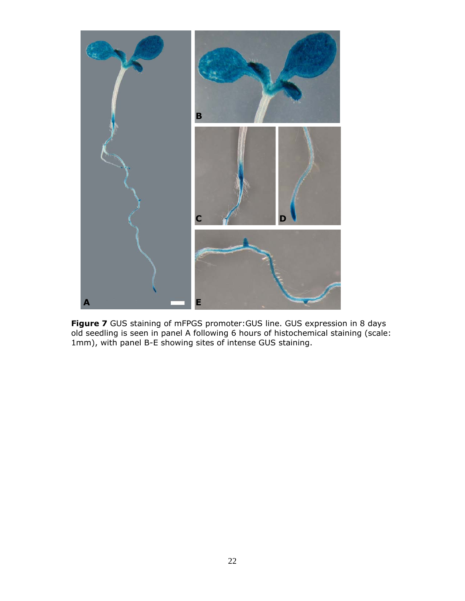

**Figure 7** GUS staining of mFPGS promoter:GUS line. GUS expression in 8 days old seedling is seen in panel A following 6 hours of histochemical staining (scale: 1mm), with panel B-E showing sites of intense GUS staining.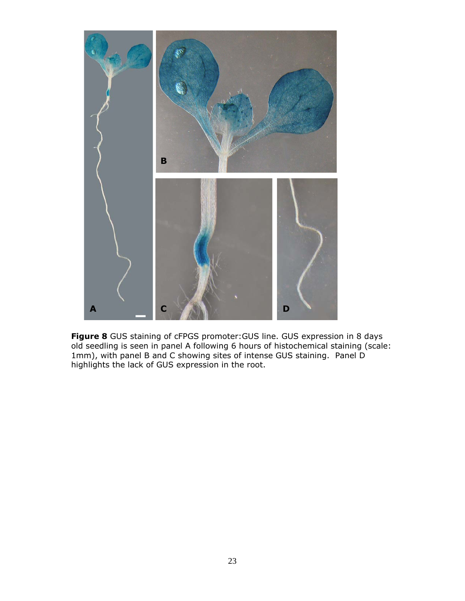

**Figure 8** GUS staining of cFPGS promoter:GUS line. GUS expression in 8 days old seedling is seen in panel A following 6 hours of histochemical staining (scale: 1mm), with panel B and C showing sites of intense GUS staining. Panel D highlights the lack of GUS expression in the root.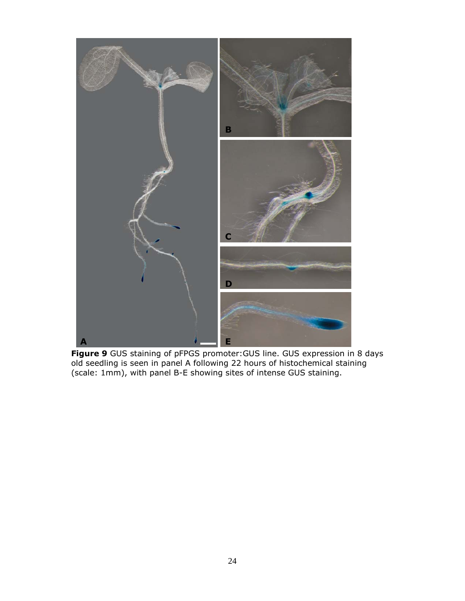

**Figure 9** GUS staining of pFPGS promoter:GUS line. GUS expression in 8 days old seedling is seen in panel A following 22 hours of histochemical staining (scale: 1mm), with panel B-E showing sites of intense GUS staining.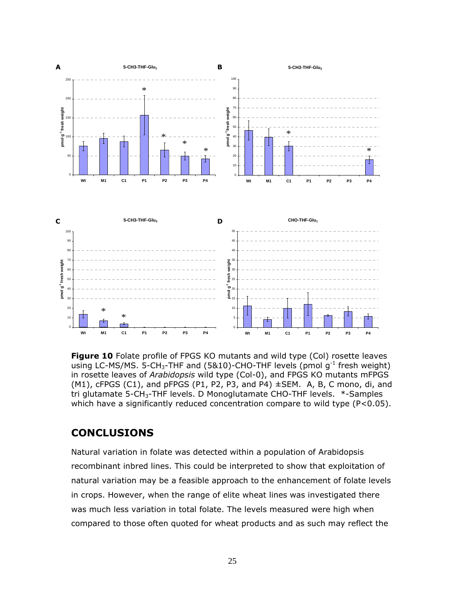

**Figure 10** Folate profile of FPGS KO mutants and wild type (Col) rosette leaves using LC-MS/MS. 5-CH<sub>3</sub>-THF and (5&10)-CHO-THF levels (pmol  $g^{-1}$  fresh weight) in rosette leaves of *Arabidopsis* wild type (Col-0), and FPGS KO mutants mFPGS  $(M1)$ , cFPGS  $(C1)$ , and pFPGS  $(P1, P2, P3)$ , and  $P4$ )  $\pm$ SEM. A, B, C mono, di, and tri glutamate 5-CH<sub>3</sub>-THF levels. D Monoglutamate CHO-THF levels. \*-Samples which have a significantly reduced concentration compare to wild type (P<0.05).

#### **CONCLUSIONS**

Natural variation in folate was detected within a population of Arabidopsis recombinant inbred lines. This could be interpreted to show that exploitation of natural variation may be a feasible approach to the enhancement of folate levels in crops. However, when the range of elite wheat lines was investigated there was much less variation in total folate. The levels measured were high when compared to those often quoted for wheat products and as such may reflect the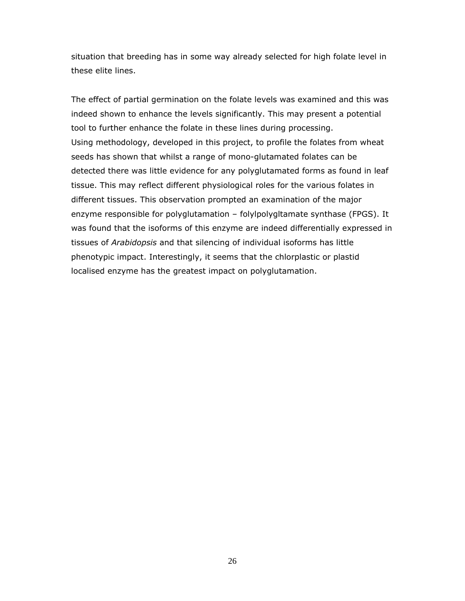situation that breeding has in some way already selected for high folate level in these elite lines.

The effect of partial germination on the folate levels was examined and this was indeed shown to enhance the levels significantly. This may present a potential tool to further enhance the folate in these lines during processing. Using methodology, developed in this project, to profile the folates from wheat seeds has shown that whilst a range of mono-glutamated folates can be detected there was little evidence for any polyglutamated forms as found in leaf tissue. This may reflect different physiological roles for the various folates in different tissues. This observation prompted an examination of the major enzyme responsible for polyglutamation – folylpolygltamate synthase (FPGS). It was found that the isoforms of this enzyme are indeed differentially expressed in tissues of *Arabidopsis* and that silencing of individual isoforms has little phenotypic impact. Interestingly, it seems that the chlorplastic or plastid localised enzyme has the greatest impact on polyglutamation.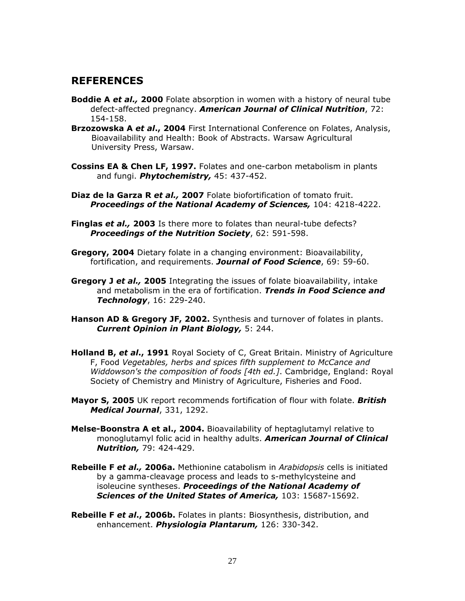## **REFERENCES**

- **Boddie A** *et al.,* **2000** Folate absorption in women with a history of neural tube defect-affected pregnancy. *American Journal of Clinical Nutrition*, 72: 154-158.
- **Brzozowska A** *et al***., 2004** First International Conference on Folates, Analysis, Bioavailability and Health: Book of Abstracts. Warsaw Agricultural University Press, Warsaw.
- **Cossins EA & Chen LF, 1997.** Folates and one-carbon metabolism in plants and fungi. *Phytochemistry,* 45: 437-452.
- **Diaz de la Garza R** *et al.,* **2007** Folate biofortification of tomato fruit. *Proceedings of the National Academy of Sciences,* 104: 4218-4222.
- **Finglas** *et al.,* **2003** Is there more to folates than neural-tube defects? *Proceedings of the Nutrition Society*, 62: 591-598.
- **Gregory, 2004** Dietary folate in a changing environment: Bioavailability, fortification, and requirements. *Journal of Food Science*, 69: 59-60.
- **Gregory J** *et al.,* **2005** Integrating the issues of folate bioavailability, intake and metabolism in the era of fortification. *Trends in Food Science and Technology*, 16: 229-240.
- **Hanson AD & Gregory JF, 2002.** Synthesis and turnover of folates in plants. *Current Opinion in Plant Biology,* 5: 244.
- **Holland B,** *et al***., 1991** Royal Society of C, Great Britain. Ministry of Agriculture F, Food *Vegetables, herbs and spices fifth supplement to McCance and Widdowson's the composition of foods [4th ed.]*. Cambridge, England: Royal Society of Chemistry and Ministry of Agriculture, Fisheries and Food.
- **Mayor S, 2005** UK report recommends fortification of flour with folate. *British Medical Journal*, 331, 1292.
- **Melse-Boonstra A et al., 2004.** Bioavailability of heptaglutamyl relative to monoglutamyl folic acid in healthy adults. *American Journal of Clinical Nutrition,* 79: 424-429.
- **Rebeille F** *et al.,* **2006a.** Methionine catabolism in *Arabidopsis* cells is initiated by a gamma-cleavage process and leads to s-methylcysteine and isoleucine syntheses. *Proceedings of the National Academy of Sciences of the United States of America,* 103: 15687-15692.
- **Rebeille F** *et al***., 2006b.** Folates in plants: Biosynthesis, distribution, and enhancement. *Physiologia Plantarum,* 126: 330-342.